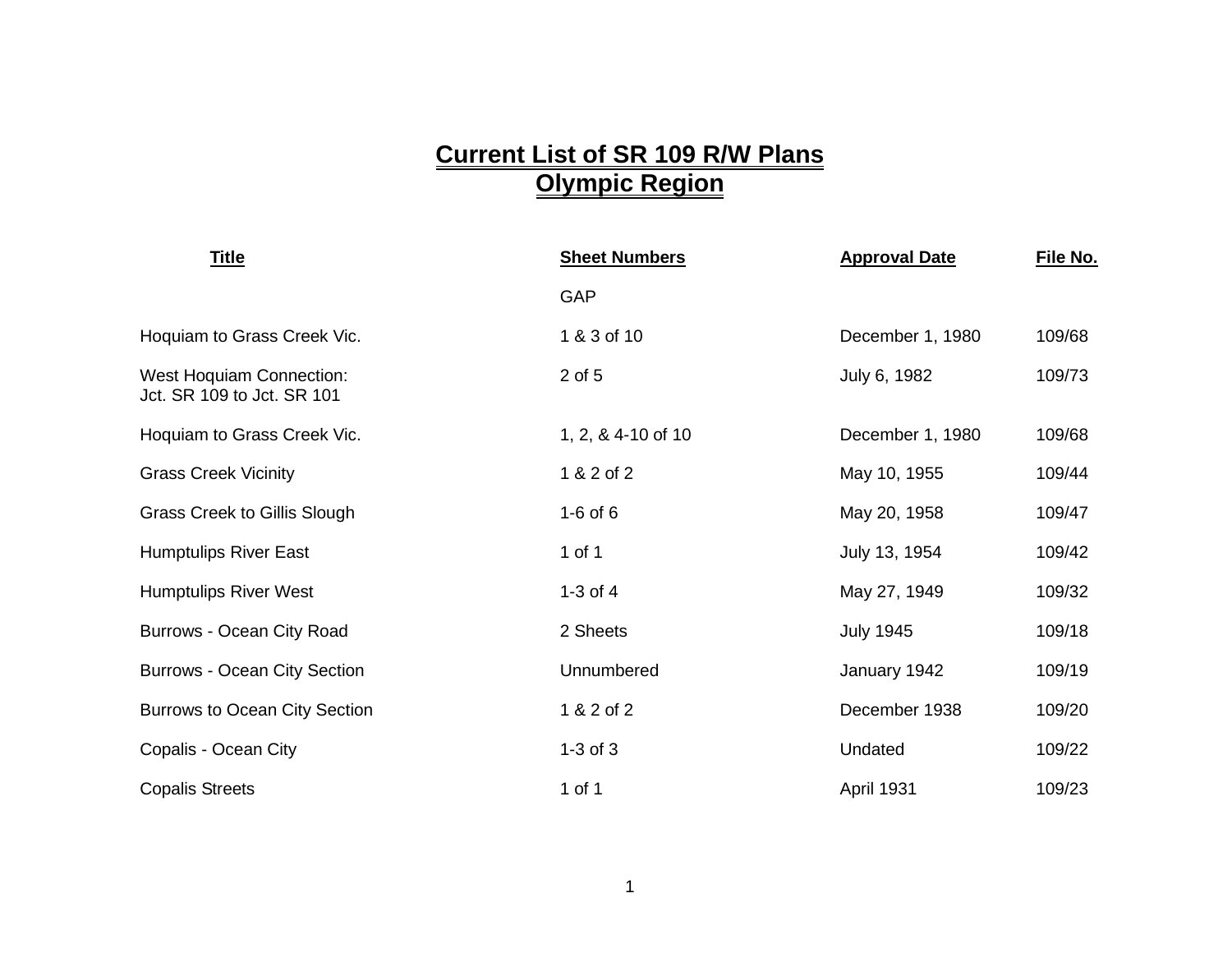## **Current List of SR 109 R/W Plans Olympic Region**

| <b>Title</b>                                                  | <b>Sheet Numbers</b> | <b>Approval Date</b> | File No. |
|---------------------------------------------------------------|----------------------|----------------------|----------|
|                                                               | GAP                  |                      |          |
| Hoquiam to Grass Creek Vic.                                   | 1 & 3 of 10          | December 1, 1980     | 109/68   |
| <b>West Hoquiam Connection:</b><br>Jct. SR 109 to Jct. SR 101 | 2 of 5               | July 6, 1982         | 109/73   |
| Hoquiam to Grass Creek Vic.                                   | 1, 2, & 4-10 of 10   | December 1, 1980     | 109/68   |
| <b>Grass Creek Vicinity</b>                                   | 1 & 2 of 2           | May 10, 1955         | 109/44   |
| <b>Grass Creek to Gillis Slough</b>                           | $1-6$ of $6$         | May 20, 1958         | 109/47   |
| <b>Humptulips River East</b>                                  | 1 of 1               | July 13, 1954        | 109/42   |
| <b>Humptulips River West</b>                                  | 1-3 of $4$           | May 27, 1949         | 109/32   |
| Burrows - Ocean City Road                                     | 2 Sheets             | <b>July 1945</b>     | 109/18   |
| <b>Burrows - Ocean City Section</b>                           | Unnumbered           | January 1942         | 109/19   |
| <b>Burrows to Ocean City Section</b>                          | 1 & 2 of 2           | December 1938        | 109/20   |
| Copalis - Ocean City                                          | $1-3$ of $3$         | Undated              | 109/22   |
| <b>Copalis Streets</b>                                        | 1 of 1               | April 1931           | 109/23   |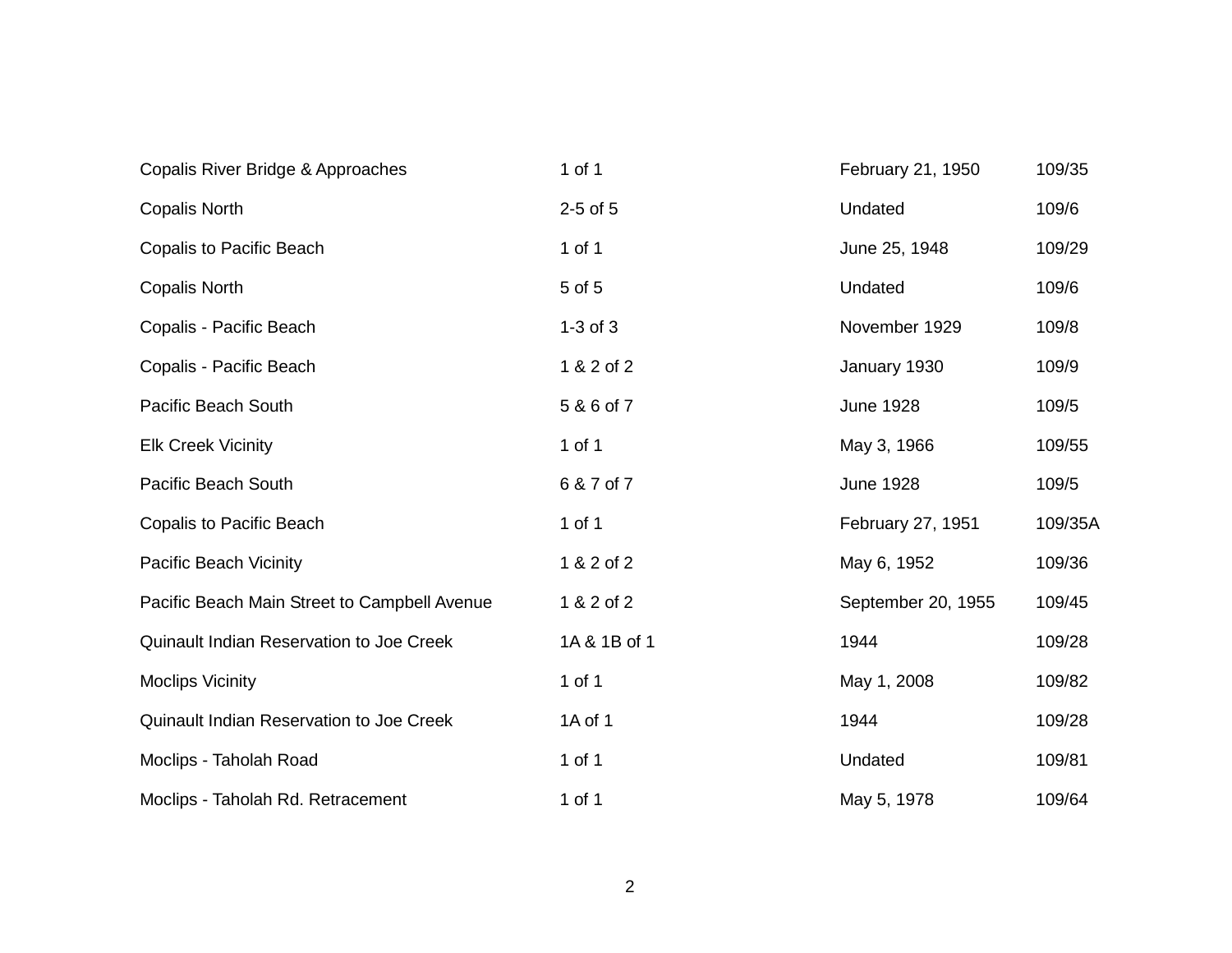| Copalis River Bridge & Approaches            | 1 of 1       | February 21, 1950  | 109/35  |
|----------------------------------------------|--------------|--------------------|---------|
| <b>Copalis North</b>                         | $2-5$ of $5$ | Undated            | 109/6   |
| Copalis to Pacific Beach                     | 1 of 1       | June 25, 1948      | 109/29  |
| <b>Copalis North</b>                         | 5 of 5       | Undated            | 109/6   |
| Copalis - Pacific Beach                      | $1-3$ of $3$ | November 1929      | 109/8   |
| Copalis - Pacific Beach                      | 1 & 2 of 2   | January 1930       | 109/9   |
| Pacific Beach South                          | 5 & 6 of 7   | <b>June 1928</b>   | 109/5   |
| <b>Elk Creek Vicinity</b>                    | 1 of 1       | May 3, 1966        | 109/55  |
| Pacific Beach South                          | 6 & 7 of 7   | <b>June 1928</b>   | 109/5   |
| <b>Copalis to Pacific Beach</b>              | 1 of 1       | February 27, 1951  | 109/35A |
| Pacific Beach Vicinity                       | 1 & 2 of 2   | May 6, 1952        | 109/36  |
| Pacific Beach Main Street to Campbell Avenue | 1 & 2 of 2   | September 20, 1955 | 109/45  |
| Quinault Indian Reservation to Joe Creek     | 1A & 1B of 1 | 1944               | 109/28  |
| <b>Moclips Vicinity</b>                      | 1 of 1       | May 1, 2008        | 109/82  |
| Quinault Indian Reservation to Joe Creek     | 1A of 1      | 1944               | 109/28  |
| Moclips - Taholah Road                       | 1 of 1       | Undated            | 109/81  |
| Moclips - Taholah Rd. Retracement            | 1 of 1       | May 5, 1978        | 109/64  |